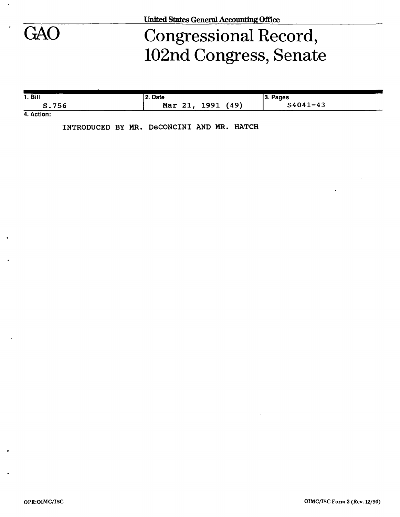

٠

## GAO Congressional Record, 102nd Congress, Senate

| 1. Bill    | 2. Date                 | 3. Pages     |
|------------|-------------------------|--------------|
| 756<br>s., | (49)<br>1991<br>Mar 21, | $S4041 - 43$ |

**4. Action:** 

**INTRODUCED BY MR. DeCONCINI AND MR. HATCH**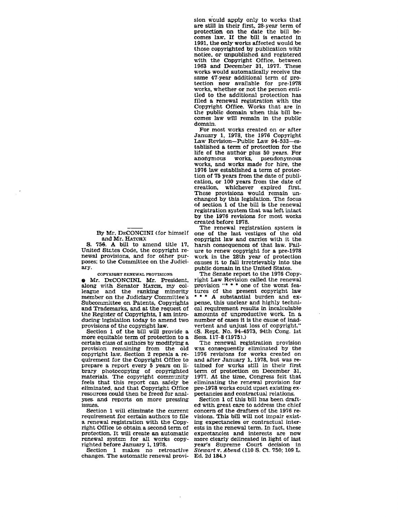By Mr. DECONCINI (for himself **and** Mr. HATCH);

S. 756. A bill to amend title 17, United States Code, the copyright renewal provisions, and for other purposes; to the Committee on the Judici ary.

**COPYRIGHT RENEWAL PROVISIONS** 

**e** Mr. DECONCINL Mr. President, along with Senator Harch, my colleague and the ranking minority member on the Judiciary Committee's Subconunittee **on** Patents, Copyrights **and Trademarks, and** at the r&uest of the Register of Copyrights, I **am intro**ducing legislation today to amend two provisions of the copyright **law.** 

Section 1 of the **bill will** provide a more equitable term of protection to a certain class of authors by **modifying** a provision remaining from the old copyright law. Section 2 repeals a requirement for the Copyright Office to prepare a report every 5 years on library photocopying of copyrighted materials. The copyright community feels that this report can safely be eliminated, and that Copyright Office resources could then be freed for **analyses.** and reports on more pressing issues-

Section 1 **will** eliminate the current requirement for certain authors to file<br>a renewal registration with the Copyright Office to obtain a second term of protection. It will create **an** automatic renewal system for **all** works copy- righted Before January **I,** 1978.

Section 1 makes no retroactive changes. The antomatic renewal provi-Ed. **2d** 184.)

sion ffould **apply** only to works that are still **In** their first, 28-year term of protection on the date the bill becomes law. **Zf** the bill is enacted in 1991, **the only** mrks affected would be those copyrighted by publication with<br>notice, or unpublished and registered with the Copyright Office, between 1963 and December 31, 1977. These works would automatically receive the<br>same 47-year additional term of protection now available for pre-1978 works, whether or not the person entitled to the additional protection has filed a renewal registration with the Copyright Office. Works that are in the public domain when this bill becomes **Iaw wil1** remain in the public domain.

For most works created on or after January 1, 1978, the 1976 Copyright<br>Law Revision-Public Law 94-533-established a **term** of protection for the life of the author plus 50 years. For<br>anonymous works, pseudonymous works, and works made for hire, the 1976 **law** established a term of protection of **75** years from the date of publication, or 100 years from the date of creation. whichever expired fist. These provisions would remain unchanged by this IegisIation. The focus of section 1 of the bill is the renewal registration system that **was** left intact by the 1976 revisions for most works created before 1978.

The renewal registration system is one of the last vestiges of the old copyright law and carries with it the. harsh consequences of that law. Failure to renew copyright for a pre-1978 work in the 28th year of protection causes it to fall irretrievably into the public domain in the United States.

The Senate report to the 1976 Copy- right Law Revision called the renewal provision "\* \* \* one of the **worst** features of the present copyright law \* \* \* A substantial burden and expense. this unclear and highly technlcal requirement results in incalculable amounts of unproductive work. In a number of cases it is the cause of inadvertent and unjust loss of copyright." (S. Rept. No. 94-4573. 94th Cong. 1st Sess. 117-8 (1975).)

The renewal registration provision **ms** consequently eliminated by the **1976** revisions for works created on and after January 1, 1978. but **was** retained for works still in their first term of protection on December 31. 1977. At the time. Congress felt that eliminating the renewal provision for gre-1978 works could upset existing expectancies and contractual relations.

Section **1** of this bill has **been** drafted with great care to address the chief concern of the drafters of **the** 1976 revisions. **This** bill will not impair exist**ing** expectancies or contractual interests in the renewal term. **En** fact, these expectancies and interests are now more clearly delineated in light of last year's Supreme Court decision in *Stmart* v. Abend (110 S. **Ct.** 750; 109 L.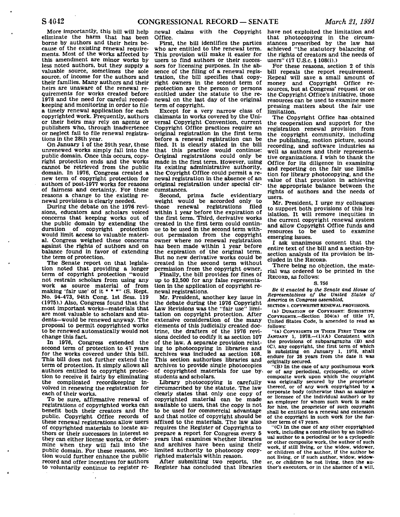More importantly, this bill will help eliminate the harm that has been borne by authors and their heirs because of the existing renewal requirements. Most of the works affected by this amendment are minor works by less noted authors, but they supply a valuable source, sometimes the sole source, of income for the authors and their families. Many authors and their heirs are unaware of the renewal requirements for works created before 1978 and the need for careful recordkeeping and monitoring in order to file a timely renewal application for each copyrighted work. Frequently, authors or their heirs may rely on agents or publishers who, through inadvertence or neglect fail to file renewal registrations in the 28th year.

On January 1 of the 29th year, these unrenewed works simply fall into the public domain. Once this occurs, copyright protection ends and the works cannot be retrieved from the public domain. In 1976, Congress created a new term of copyright protection for authors of post-1977 works for reasons of fairness and certainty. For these reasons a change to the existing renewal provisions is clearly needed.

During the debate on the 1976 revisions, educators and scholars voiced concerns that keeping works out of the public domain by extending the duration of copyright protection would limit access to valuable material. Congress weighed these concerns against the rights of authors and on balance found in favor of extending the term of protection.

The Senate report on that legislation noted that providing a longer term of copyright protection "would not restrain scholars from using any work as source material of from making 'fair use' of it  $* * "$  (S. Rept. No. 94-473, 94th Cong. 1st Sess. 119 (1975).) Also, Congress found that the most important works—materials that are most valuable to scholars and students—would be renewed anyway. The proposal to permit copyrighted works to be renewed automatically would not change this fact.

In 1976, Congress extended the second term of protection to 47 years for the works covered under this bill. This bill does not further extend the term of protection. It simply allows all authors entitled to copyright protection to receive it fairly by eliminating the complicated recordkeeping involved in renewing the registration for each of their works.

To be sure, affirmative renewal of registrations of copyrighted works can benefit both their creators and the public. Copyright Office records of these renewal registrations allow users of copyrighted materials to locate authors or their successors in interest so they can either license works, or determine when they will fall into the public domain. For these reasons, section would further enhance the public record and offer incentives for authors to voluntarily continue to register re-

 $\overline{a}$ 

newal claims with the Copyright Office.

First, the bill identifies the parties who are entitled to the renewal term. This provision will make it easier for users to find authors or their successors for licensing purposes. In the absence of the filing of a renewal registration, the bill specifies that copyright owners in the second term of protection are the person or persons entitled under the statute to the renewal on the last day of the original term of copyright.

Except for a very narrow class of claimants in works covered by the Universal Copyright Convention, current Copyright Office practices require an original registration in the first term before a renewal registration can be filed. It is clearly stated in the bill that this practice would continue: Original registrations could only be made in the first term. However, using its existing administrative authority, the Coyright Office could permit a renewal registration in the absence of an original registration under special circumstances.

Second, prima facie evidentiary weight would be accorded only to<br>those renewal registrations filed renewal registrations within 1 year before the expiration of the first term. Third, derivative works created in the first term could continue to be used in the second term without permission from the copyright owner where no renewal registration has been made within 1 year before the expiration of the original term. But no new derivative works could be created in the second term without permission from the copyright owner.

Finally, the bill provides for fines of up to \$2,500 for any false representation in the application of copyright renewal registrations.

Mr. President, another key issue in the debate during the 1976 Copyright Law Revisions was the "fair use" limitation on copyright protection. After extensive consideration of the many elements of this judicially created doctrine, the drafters of the 1976 revisions decided to codify it as section 107 of the law. A separate provision relating to photocopying in libraries and archives was included as section 108. This section authorizes libraries and archives to provide single photocopies of copyrighted materials for use bystudents and scholars.

Library photocopying is carefully circumscribed by the statute. The law clearly states that only one copy of copyrighted material can be made available to users, that the copy is not to be used for commercial advantage and that notice of copyright should be affixed to the materials. The law also requires the Register of Copyrights to prepare a report for Congress every 5 years that examines whether libraries and archives have been using their limited authority to photocopy copyrighted materials within reason.

After submitting two reports, the Register has concluded that libraries have not exploited the limitation and that photocopying in the circumstances prescribed by the law has achieved "the statutory balancing of the rights of creators and the needs of users" (17 U.S.c. § 108(i).)

For these reasons, section 2 of this bill repeals the report requirement. Repeal will save a small amount of money and Copyright Office resources, but at Congress' request or on the Copyright Office's initiative, those resources can be used to examine more pressing matters about the fair use limitation.

The Copyright Office has obtained the cooperation and support for the registration renewal provision from the copyright community, including the publishing, motion picture, sound recording, and software industries as well as authors and their representative organizations. I wish to thank the Office for its diligence in examining and reporting on the fair use limitation for library photocopying, and the value of that provision in achieving the appropriate balance between the rights of authors and the needs of users.

Mr. President, I urge my colleagues to support both provisions of this legislation. It will remove inequities in the current copyright renewal system and allow Copyright Office funds and resources to be used to examine emerging issues.

I ask unanimous consent that the entire text of the bill and a section-bysection analysis of its provision be included in the RECORD.

There being no objection, the material was ordered to be printed in the RECORD, as follows:

## **S. 756**

*Be it enacted by the Senate and House of Representatives of the United States of America in Congress assembled,* 

**SECTION 1. COPYWRITHT RENEWAL PROVISIONS.** 

**(a) DURATION OF COPYRIGHT: SUBSISTING COPYRIGHTS.—Section 304(a) of title 17, United States Code, Is amended to read as follows:** 

**"(a) COPYRIGHTS IN THEIR FIRST TERM ON**  JANUARY 1, 1978.-(1)(A) Consistent with **the provisions of subparagraphs (B) and (C), any copyright, the first term of which is subsisting on January 1, 1978, shall endure for 28 years from the date it was originally secured.** 

**"(B) In the case of any posthumous work or of any periodical, cyclopedic, or other composite work upon which the copyright was originally secured by the proprietor thereof, or of any work copyrighted by a corporate body (otherwise than as assignee or licensee of the individual author) or by an employer for whom such work is made for hire, the proprietor of such copyright shall be entitled to a renewal and extension of the copyright In such work for the further term of 47 years.** 

**"(C) In the case of any other copyrighted work, including a contribution by an individual author to a periodical or to a cyclopedic or other composite work, the author of such work, if still living, or the widow, widower, or children of the author, if the author be not living, or if such author, widow, widower, or children be not living, then the author's executors, or in the absence of a will.**